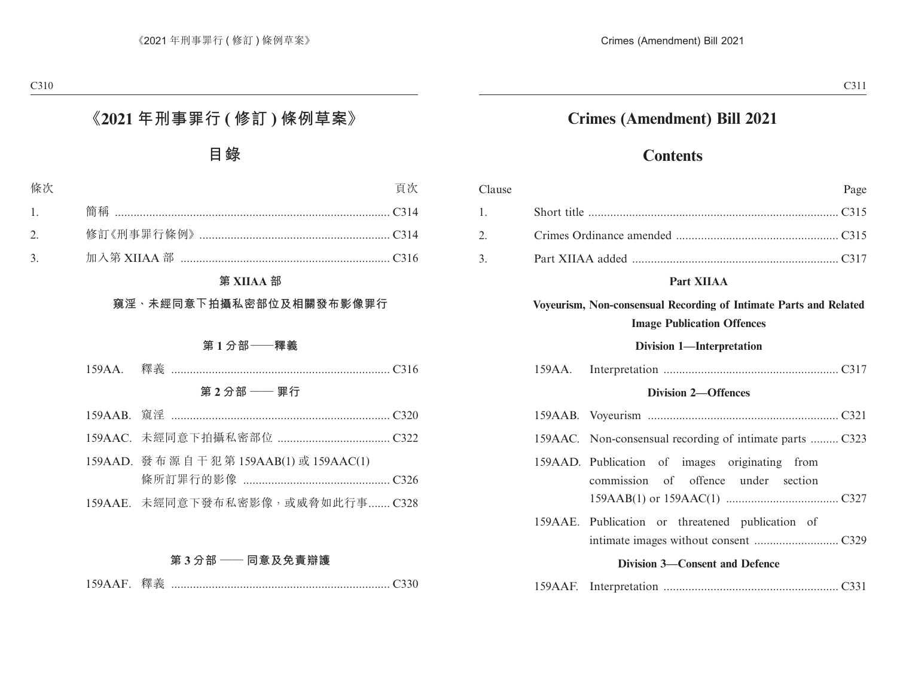## **Crimes (Amendment) Bill 2021**

## **Contents**

| Clause |                                                                                                        | Page                                                                                  |  |
|--------|--------------------------------------------------------------------------------------------------------|---------------------------------------------------------------------------------------|--|
| 1.     |                                                                                                        |                                                                                       |  |
| 2.     |                                                                                                        |                                                                                       |  |
| 3.     |                                                                                                        |                                                                                       |  |
|        |                                                                                                        | Part XIIAA                                                                            |  |
|        | Voyeurism, Non-consensual Recording of Intimate Parts and Related<br><b>Image Publication Offences</b> |                                                                                       |  |
|        |                                                                                                        | <b>Division 1-Interpretation</b>                                                      |  |
|        | 159AA.                                                                                                 |                                                                                       |  |
|        | <b>Division 2-Offences</b>                                                                             |                                                                                       |  |
|        |                                                                                                        |                                                                                       |  |
|        |                                                                                                        | 159AAC. Non-consensual recording of intimate parts  C323                              |  |
|        |                                                                                                        | 159AAD. Publication of images originating from<br>commission of offence under section |  |
|        |                                                                                                        | 159AAE. Publication or threatened publication of                                      |  |
|        |                                                                                                        | <b>Division 3—Consent and Defence</b>                                                 |  |
|        |                                                                                                        |                                                                                       |  |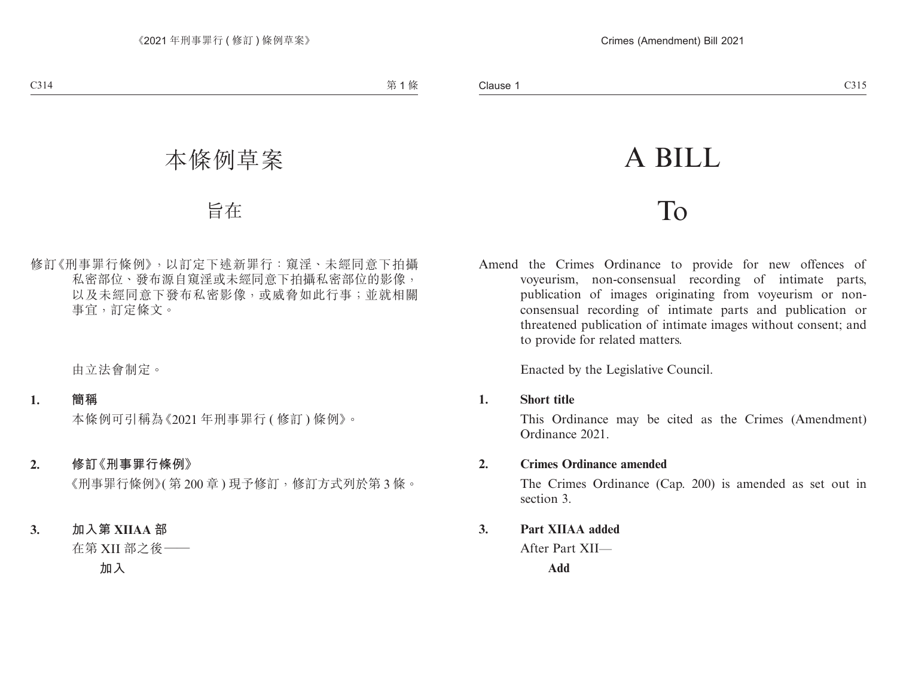# A BILL

## To

Amend the Crimes Ordinance to provide for new offences of voyeurism, non-consensual recording of intimate parts, publication of images originating from voyeurism or nonconsensual recording of intimate parts and publication or threatened publication of intimate images without consent; and to provide for related matters.

Enacted by the Legislative Council.

**1. Short title**

This Ordinance may be cited as the Crimes (Amendment) Ordinance 2021.

**2. Crimes Ordinance amended**

The Crimes Ordinance (Cap. 200) is amended as set out in section 3.

**3. Part XIIAA added**

After Part XII—

**Add**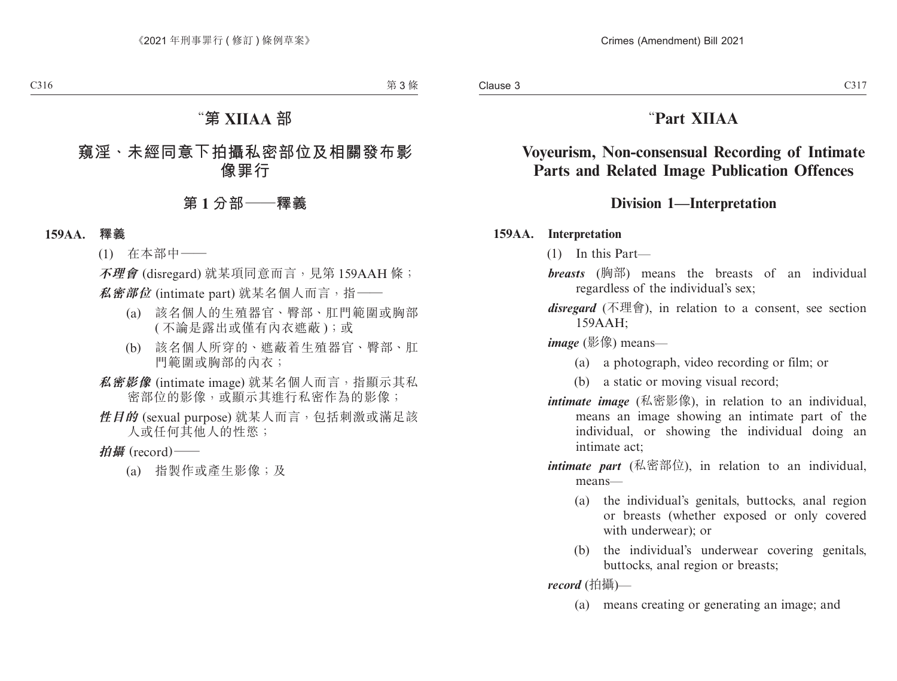## "**Part XIIAA**

### **Voyeurism, Non-consensual Recording of Intimate Parts and Related Image Publication Offences**

#### **Division 1—Interpretation**

#### **159AA. Interpretation**

(1) In this Part—

- *breasts* (胸部) means the breasts of an individual regardless of the individual's sex;
- *disregard* (不理會), in relation to a consent, see section  $159AAH$

*image* (影像) means—

- (a) a photograph, video recording or film; or
- (b) a static or moving visual record;
- *intimate image* (私密影像), in relation to an individual, means an image showing an intimate part of the individual, or showing the individual doing an intimate act;
- *intimate part* (私密部位), in relation to an individual, means—
	- (a) the individual's genitals, buttocks, anal region or breasts (whether exposed or only covered with underwear); or
	- (b) the individual's underwear covering genitals, buttocks, anal region or breasts;

*record* (拍攝)—

(a) means creating or generating an image; and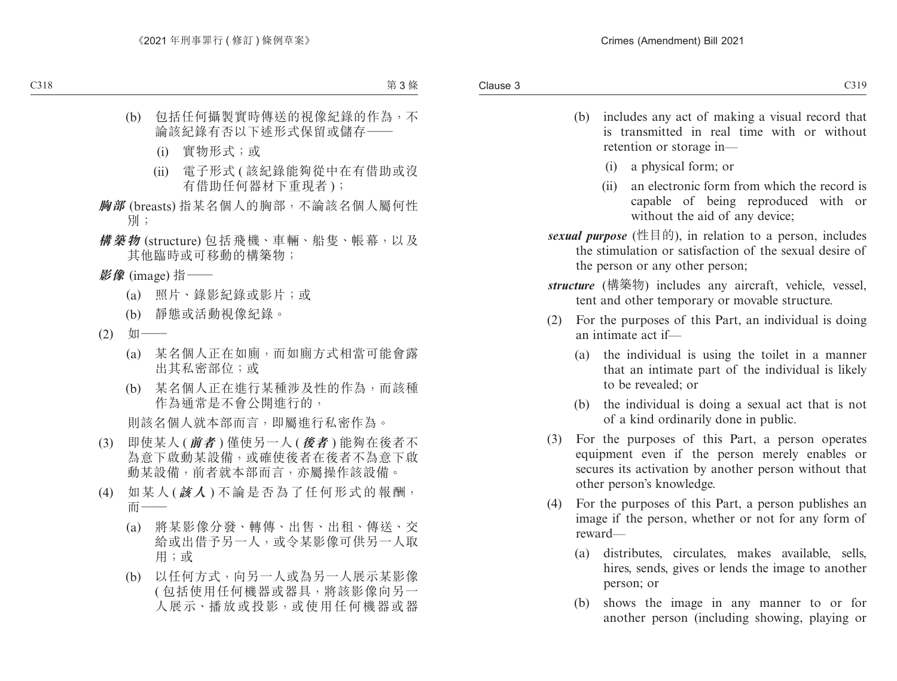- (b) includes any act of making a visual record that is transmitted in real time with or without retention or storage in—
	- (i) a physical form; or
	- (ii) an electronic form from which the record is capable of being reproduced with or without the aid of any device;
- *sexual purpose* (性目的), in relation to a person, includes the stimulation or satisfaction of the sexual desire of the person or any other person;
- *structure* (構築物) includes any aircraft, vehicle, vessel, tent and other temporary or movable structure.
- (2) For the purposes of this Part, an individual is doing an intimate act if—
	- (a) the individual is using the toilet in a manner that an intimate part of the individual is likely to be revealed; or
	- (b) the individual is doing a sexual act that is not of a kind ordinarily done in public.
- (3) For the purposes of this Part, a person operates equipment even if the person merely enables or secures its activation by another person without that other person's knowledge.
- (4) For the purposes of this Part, a person publishes an image if the person, whether or not for any form of reward—
	- (a) distributes, circulates, makes available, sells, hires, sends, gives or lends the image to another person; or
	- (b) shows the image in any manner to or for another person (including showing, playing or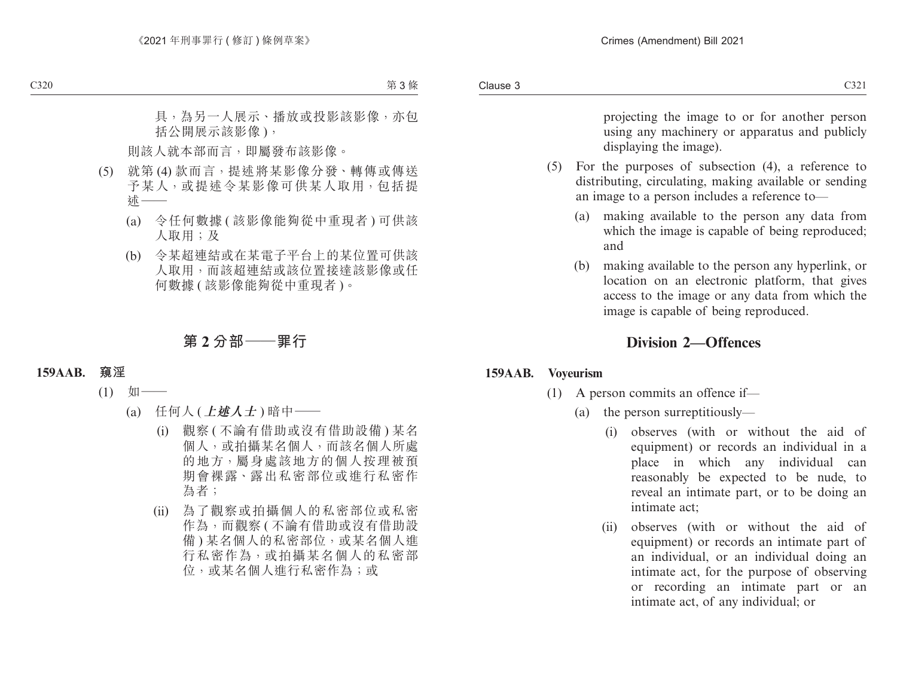projecting the image to or for another person using any machinery or apparatus and publicly displaying the image).

- (5) For the purposes of subsection (4), a reference to distributing, circulating, making available or sending an image to a person includes a reference to—
	- (a) making available to the person any data from which the image is capable of being reproduced; and
	- (b) making available to the person any hyperlink, or location on an electronic platform, that gives access to the image or any data from which the image is capable of being reproduced.

#### **Division 2—Offences**

#### **159AAB. Voyeurism**

- (1) A person commits an offence if—
	- (a) the person surreptitiously—
		- (i) observes (with or without the aid of equipment) or records an individual in a place in which any individual can reasonably be expected to be nude, to reveal an intimate part, or to be doing an intimate act;
		- (ii) observes (with or without the aid of equipment) or records an intimate part of an individual, or an individual doing an intimate act, for the purpose of observing or recording an intimate part or an intimate act, of any individual; or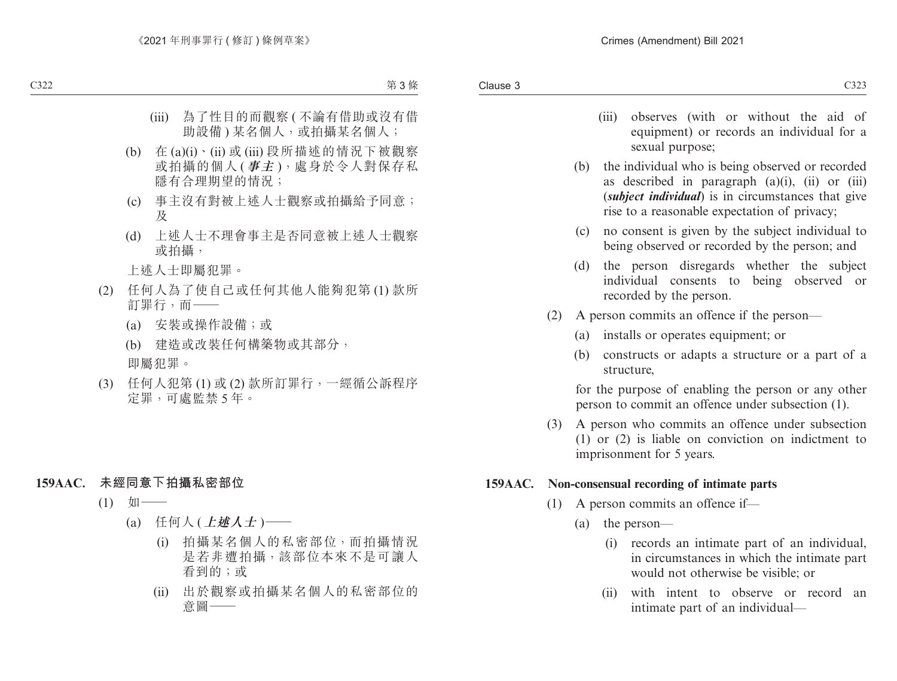- (iii) observes (with or without the aid of equipment) or records an individual for a sexual purpose;
- (b) the individual who is being observed or recorded as described in paragraph  $(a)(i)$ ,  $(ii)$  or  $(iii)$ (*subject individual*) is in circumstances that give rise to a reasonable expectation of privacy;
- (c) no consent is given by the subject individual to being observed or recorded by the person; and
- (d) the person disregards whether the subject individual consents to being observed or recorded by the person.
- (2) A person commits an offence if the person—
	- (a) installs or operates equipment; or
	- (b) constructs or adapts a structure or a part of a structure,

for the purpose of enabling the person or any other person to commit an offence under subsection (1).

(3) A person who commits an offence under subsection (1) or (2) is liable on conviction on indictment to imprisonment for 5 years.

#### **159AAC. Non-consensual recording of intimate parts**

- (1) A person commits an offence if—
	- (a) the person—
		- (i) records an intimate part of an individual, in circumstances in which the intimate part would not otherwise be visible; or
		- (ii) with intent to observe or record an intimate part of an individual—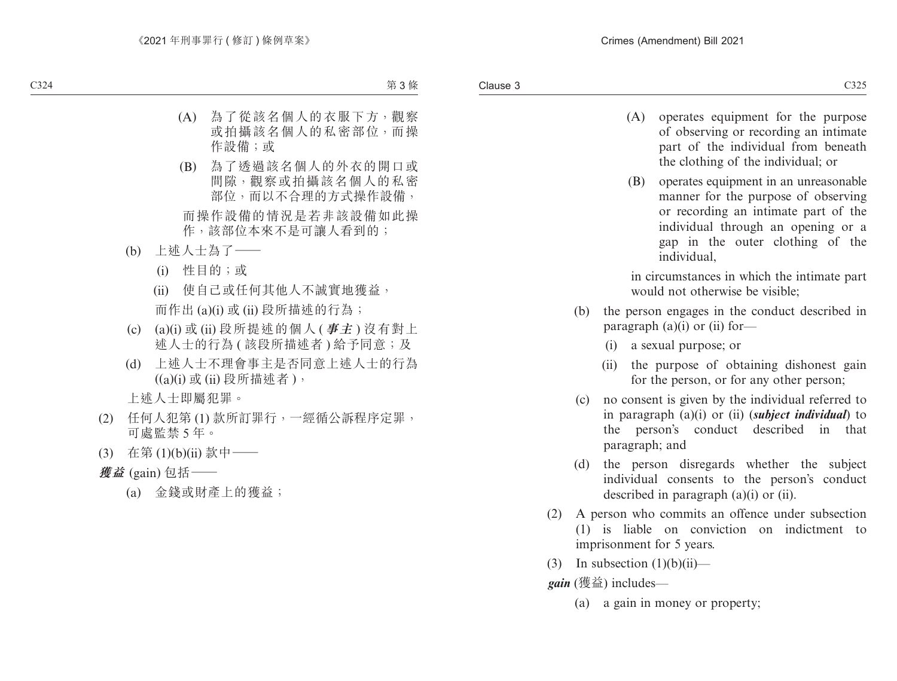- (A) operates equipment for the purpose of observing or recording an intimate part of the individual from beneath the clothing of the individual; or
- (B) operates equipment in an unreasonable manner for the purpose of observing or recording an intimate part of the individual through an opening or a gap in the outer clothing of the individual,

in circumstances in which the intimate part would not otherwise be visible;

- (b) the person engages in the conduct described in paragraph  $(a)(i)$  or  $(ii)$  for-
	- (i) a sexual purpose; or
	- (ii) the purpose of obtaining dishonest gain for the person, or for any other person;
- (c) no consent is given by the individual referred to in paragraph (a)(i) or (ii) (*subject individual*) to the person's conduct described in that paragraph; and
- (d) the person disregards whether the subject individual consents to the person's conduct described in paragraph (a)(i) or (ii).
- (2) A person who commits an offence under subsection (1) is liable on conviction on indictment to imprisonment for 5 years.
- (3) In subsection  $(1)(b)(ii)$ —

*gain* (獲益) includes—

(a) a gain in money or property;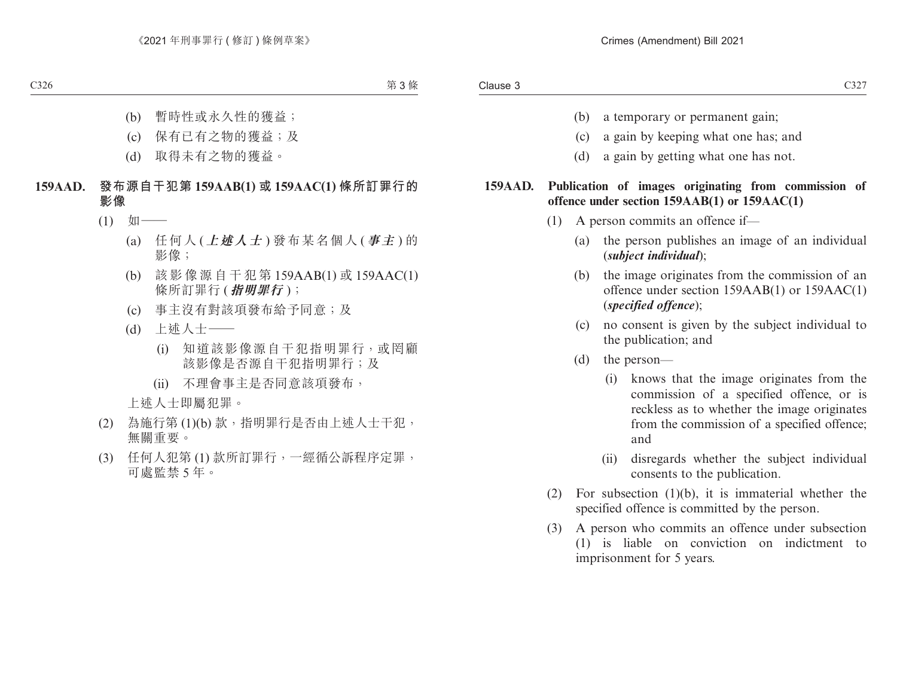- (b) a temporary or permanent gain;
- (c) a gain by keeping what one has; and
- (d) a gain by getting what one has not.

#### **159AAD. Publication of images originating from commission of offence under section 159AAB(1) or 159AAC(1)**

- (1) A person commits an offence if—
	- (a) the person publishes an image of an individual (*subject individual*);
	- (b) the image originates from the commission of an offence under section 159AAB(1) or 159AAC(1) (*specified offence*);
	- (c) no consent is given by the subject individual to the publication; and
	- (d) the person—
		- (i) knows that the image originates from the commission of a specified offence, or is reckless as to whether the image originates from the commission of a specified offence; and
		- (ii) disregards whether the subject individual consents to the publication.
- (2) For subsection (1)(b), it is immaterial whether the specified offence is committed by the person.
- (3) A person who commits an offence under subsection (1) is liable on conviction on indictment to imprisonment for 5 years.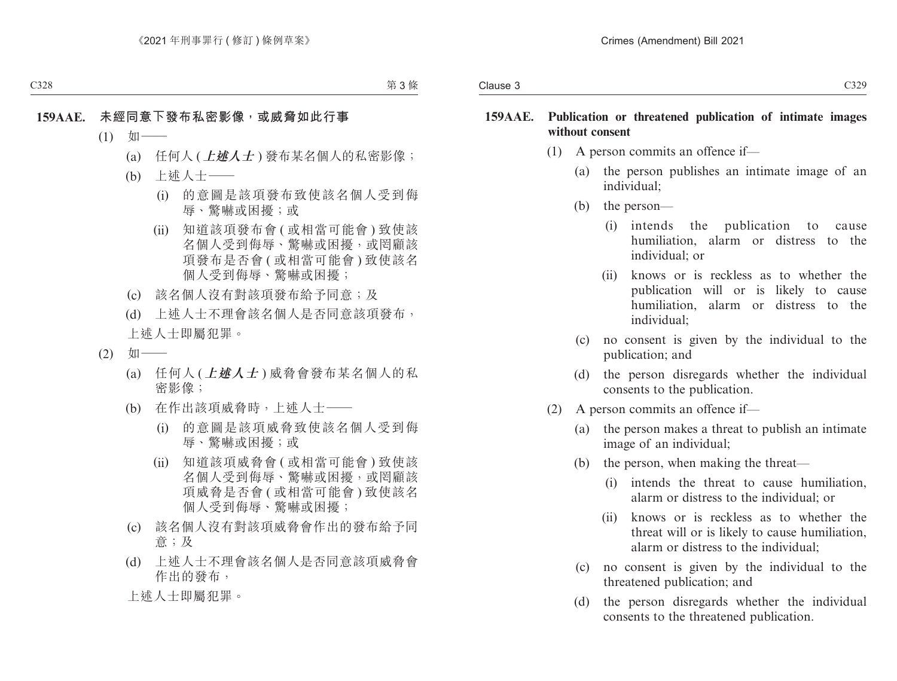- (1) A person commits an offence if—
	- (a) the person publishes an intimate image of an individual;
	- (b) the person—
		- (i) intends the publication to cause humiliation, alarm or distress to the individual; or
		- (ii) knows or is reckless as to whether the publication will or is likely to cause humiliation, alarm or distress to the individual;
	- (c) no consent is given by the individual to the publication; and
	- (d) the person disregards whether the individual consents to the publication.
- (2) A person commits an offence if—
	- (a) the person makes a threat to publish an intimate image of an individual;
	- (b) the person, when making the threat—
		- (i) intends the threat to cause humiliation, alarm or distress to the individual; or
		- (ii) knows or is reckless as to whether the threat will or is likely to cause humiliation, alarm or distress to the individual;
	- (c) no consent is given by the individual to the threatened publication; and
	- (d) the person disregards whether the individual consents to the threatened publication.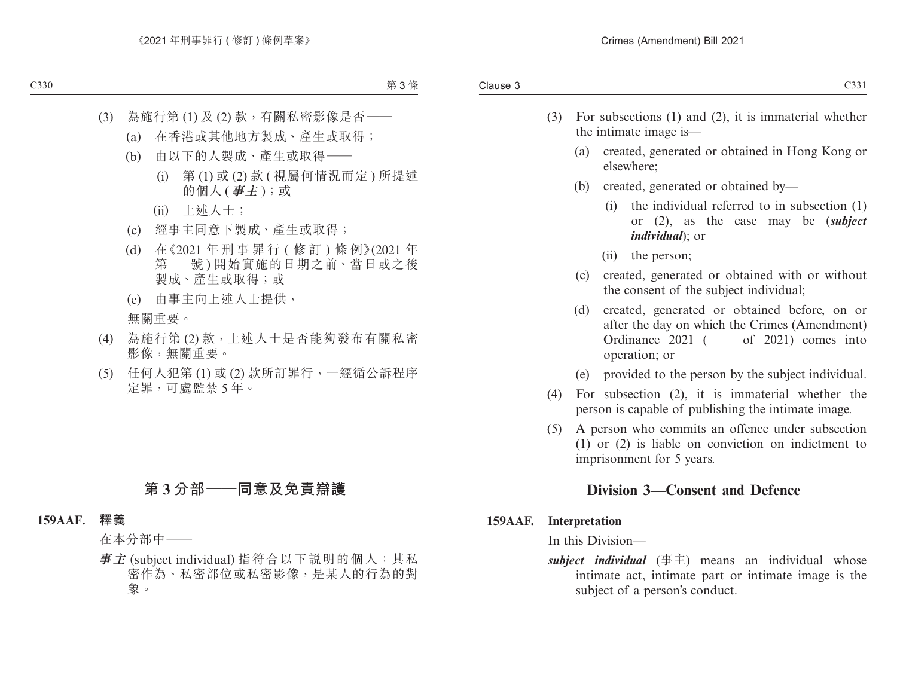- (3) For subsections (1) and (2), it is immaterial whether the intimate image is—
	- (a) created, generated or obtained in Hong Kong or elsewhere;
	- (b) created, generated or obtained by—
		- (i) the individual referred to in subsection (1) or (2), as the case may be (*subject individual*); or
		- (ii) the person;
	- (c) created, generated or obtained with or without the consent of the subject individual;
	- (d) created, generated or obtained before, on or after the day on which the Crimes (Amendment) Ordinance 2021 ( of 2021) comes into operation; or
	- (e) provided to the person by the subject individual.
- (4) For subsection (2), it is immaterial whether the person is capable of publishing the intimate image.
- (5) A person who commits an offence under subsection (1) or (2) is liable on conviction on indictment to imprisonment for 5 years.

#### **Division 3—Consent and Defence**

**159AAF. Interpretation**

In this Division—

*subject individual* (事主) means an individual whose intimate act, intimate part or intimate image is the subject of a person's conduct.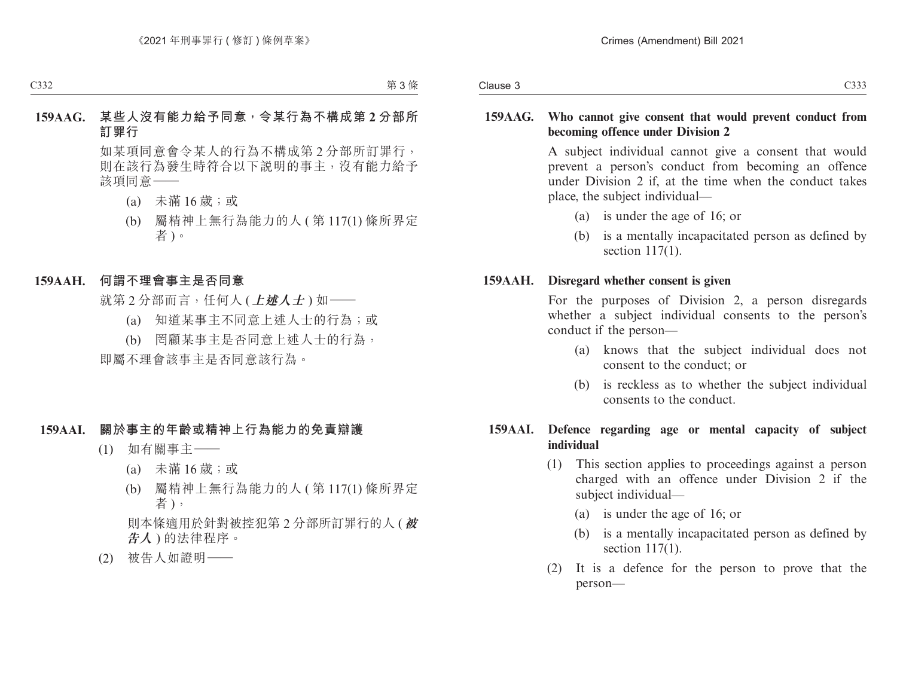#### **159AAG. Who cannot give consent that would prevent conduct from becoming offence under Division 2**

A subject individual cannot give a consent that would prevent a person's conduct from becoming an offence under Division 2 if, at the time when the conduct takes place, the subject individual—

- (a) is under the age of 16; or
- (b) is a mentally incapacitated person as defined by section 117(1).

#### **159AAH. Disregard whether consent is given**

For the purposes of Division 2, a person disregards whether a subject individual consents to the person's conduct if the person—

- (a) knows that the subject individual does not consent to the conduct; or
- (b) is reckless as to whether the subject individual consents to the conduct.

#### **159AAI. Defence regarding age or mental capacity of subject individual**

- (1) This section applies to proceedings against a person charged with an offence under Division 2 if the subject individual—
	- (a) is under the age of 16; or
	- (b) is a mentally incapacitated person as defined by section 117(1).
- (2) It is a defence for the person to prove that the person—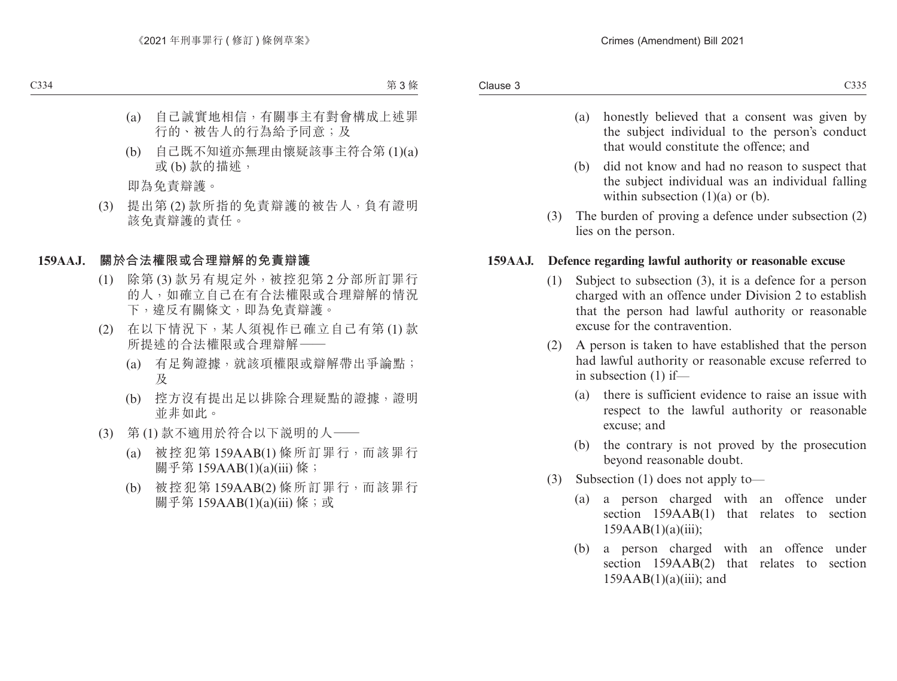- (a) honestly believed that a consent was given by the subject individual to the person's conduct that would constitute the offence; and
- (b) did not know and had no reason to suspect that the subject individual was an individual falling within subsection  $(1)(a)$  or  $(b)$ .
- (3) The burden of proving a defence under subsection (2) lies on the person.

#### **159AAJ. Defence regarding lawful authority or reasonable excuse**

- (1) Subject to subsection (3), it is a defence for a person charged with an offence under Division 2 to establish that the person had lawful authority or reasonable excuse for the contravention.
- (2) A person is taken to have established that the person had lawful authority or reasonable excuse referred to in subsection (1) if—
	- (a) there is sufficient evidence to raise an issue with respect to the lawful authority or reasonable excuse; and
	- (b) the contrary is not proved by the prosecution beyond reasonable doubt.
- (3) Subsection (1) does not apply to—
	- (a) a person charged with an offence under section 159AAB(1) that relates to section  $159AAB(1)(a)(iii);$
	- (b) a person charged with an offence under section 159AAB(2) that relates to section  $159AAB(1)(a)(iii)$ ; and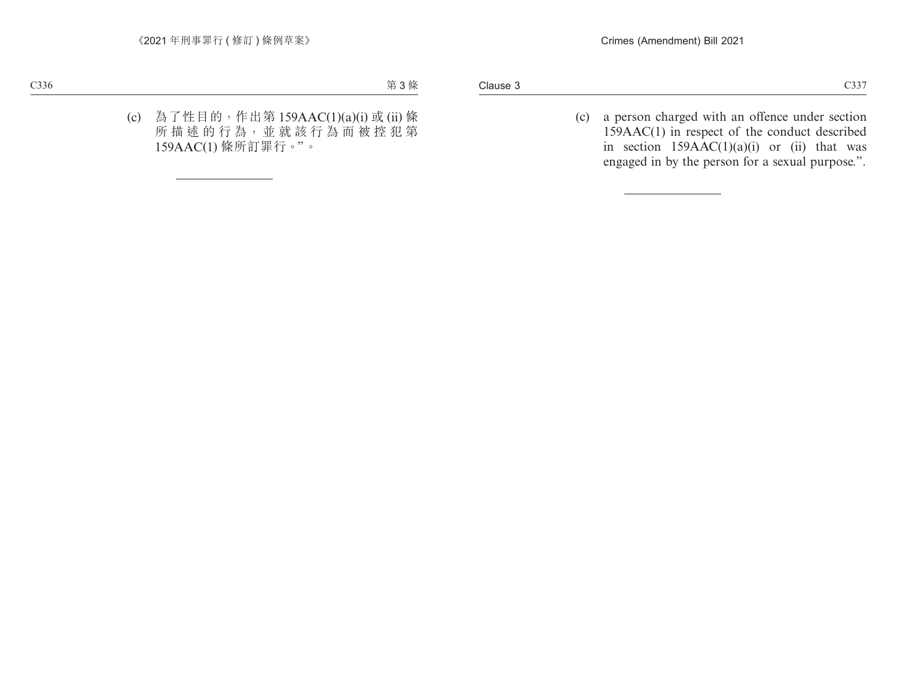(c) a person charged with an offence under section 159AAC(1) in respect of the conduct described in section  $159AAC(1)(a)(i)$  or (ii) that was engaged in by the person for a sexual purpose.".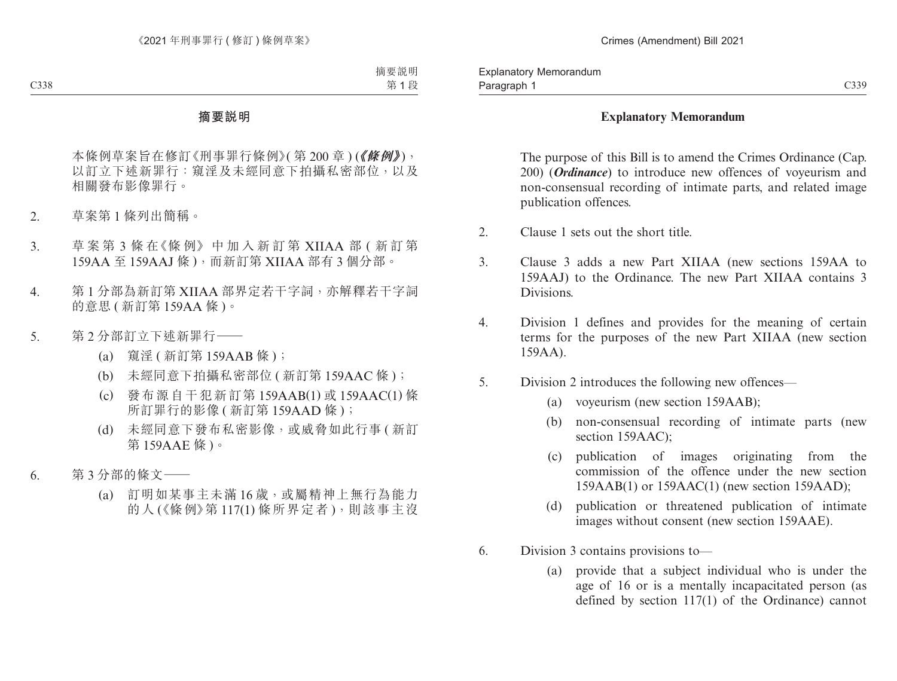#### **Explanatory Memorandum**

The purpose of this Bill is to amend the Crimes Ordinance (Cap. 200) (*Ordinance*) to introduce new offences of voyeurism and non-consensual recording of intimate parts, and related image publication offences.

- 2. Clause 1 sets out the short title.
- 3. Clause 3 adds a new Part XIIAA (new sections 159AA to 159AAJ) to the Ordinance. The new Part XIIAA contains 3 Divisions.
- 4. Division 1 defines and provides for the meaning of certain terms for the purposes of the new Part XIIAA (new section 159AA).
- 5. Division 2 introduces the following new offences—
	- (a) voyeurism (new section 159AAB);
	- (b) non-consensual recording of intimate parts (new section 159AAC):
	- (c) publication of images originating from the commission of the offence under the new section 159AAB(1) or 159AAC(1) (new section 159AAD);
	- (d) publication or threatened publication of intimate images without consent (new section 159AAE).
- 6. Division 3 contains provisions to—
	- (a) provide that a subject individual who is under the age of 16 or is a mentally incapacitated person (as defined by section 117(1) of the Ordinance) cannot